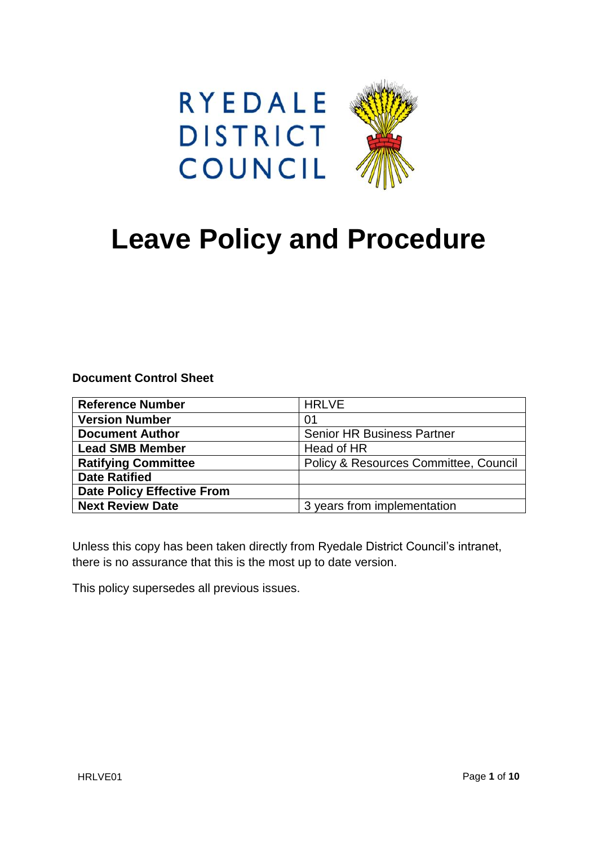



# **Leave Policy and Procedure**

**Document Control Sheet**

| <b>Reference Number</b>           | <b>HRLVE</b>                          |
|-----------------------------------|---------------------------------------|
| <b>Version Number</b>             | 01                                    |
| <b>Document Author</b>            | <b>Senior HR Business Partner</b>     |
| <b>Lead SMB Member</b>            | Head of HR                            |
| <b>Ratifying Committee</b>        | Policy & Resources Committee, Council |
| <b>Date Ratified</b>              |                                       |
| <b>Date Policy Effective From</b> |                                       |
| <b>Next Review Date</b>           | 3 years from implementation           |

Unless this copy has been taken directly from Ryedale District Council's intranet, there is no assurance that this is the most up to date version.

This policy supersedes all previous issues.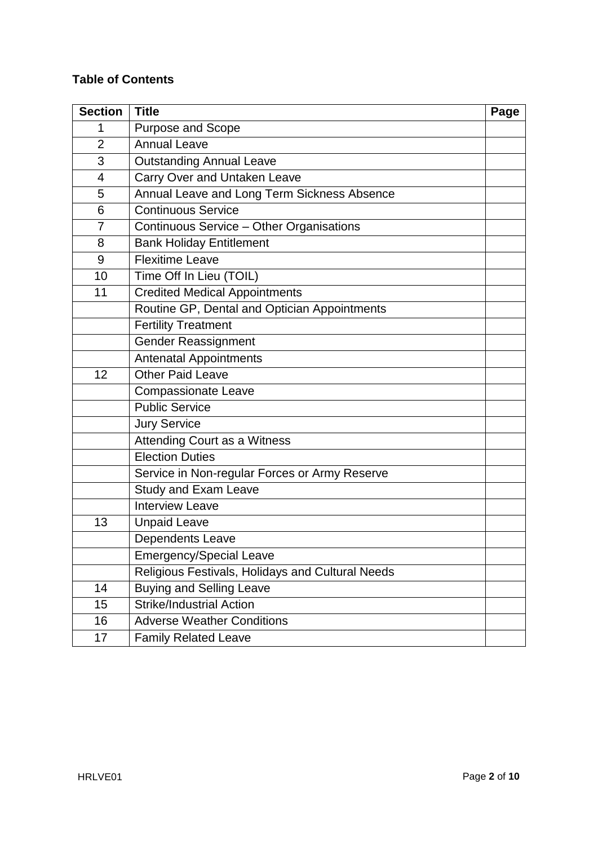# **Table of Contents**

| <b>Section</b> | <b>Title</b>                                     | Page |
|----------------|--------------------------------------------------|------|
| 1              | Purpose and Scope                                |      |
| $\overline{2}$ | <b>Annual Leave</b>                              |      |
| 3              | <b>Outstanding Annual Leave</b>                  |      |
| 4              | Carry Over and Untaken Leave                     |      |
| 5              | Annual Leave and Long Term Sickness Absence      |      |
| 6              | <b>Continuous Service</b>                        |      |
| $\overline{7}$ | Continuous Service - Other Organisations         |      |
| 8              | <b>Bank Holiday Entitlement</b>                  |      |
| 9              | <b>Flexitime Leave</b>                           |      |
| 10             | Time Off In Lieu (TOIL)                          |      |
| 11             | <b>Credited Medical Appointments</b>             |      |
|                | Routine GP, Dental and Optician Appointments     |      |
|                | <b>Fertility Treatment</b>                       |      |
|                | <b>Gender Reassignment</b>                       |      |
|                | <b>Antenatal Appointments</b>                    |      |
| 12             | <b>Other Paid Leave</b>                          |      |
|                | <b>Compassionate Leave</b>                       |      |
|                | <b>Public Service</b>                            |      |
|                | <b>Jury Service</b>                              |      |
|                | Attending Court as a Witness                     |      |
|                | <b>Election Duties</b>                           |      |
|                | Service in Non-regular Forces or Army Reserve    |      |
|                | <b>Study and Exam Leave</b>                      |      |
|                | <b>Interview Leave</b>                           |      |
| 13             | <b>Unpaid Leave</b>                              |      |
|                | Dependents Leave                                 |      |
|                | <b>Emergency/Special Leave</b>                   |      |
|                | Religious Festivals, Holidays and Cultural Needs |      |
| 14             | <b>Buying and Selling Leave</b>                  |      |
| 15             | <b>Strike/Industrial Action</b>                  |      |
| 16             | <b>Adverse Weather Conditions</b>                |      |
| 17             | <b>Family Related Leave</b>                      |      |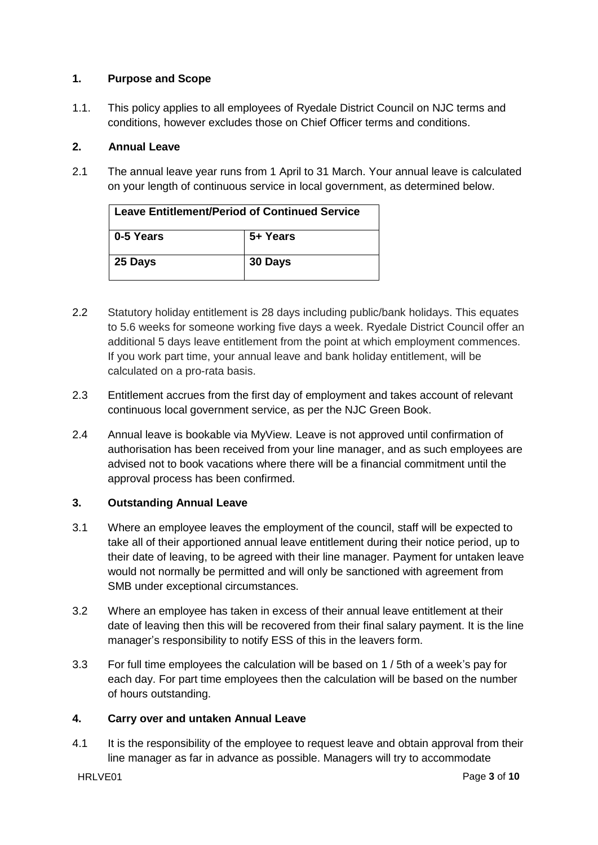# **1. Purpose and Scope**

1.1. This policy applies to all employees of Ryedale District Council on NJC terms and conditions, however excludes those on Chief Officer terms and conditions.

## **2. Annual Leave**

2.1 The annual leave year runs from 1 April to 31 March. Your annual leave is calculated on your length of continuous service in local government, as determined below.

| <b>Leave Entitlement/Period of Continued Service</b> |          |  |
|------------------------------------------------------|----------|--|
| 0-5 Years                                            | 5+ Years |  |
| 25 Days                                              | 30 Days  |  |

- 2.2 Statutory holiday entitlement is 28 days including public/bank holidays. This equates to 5.6 weeks for someone working five days a week. Ryedale District Council offer an additional 5 days leave entitlement from the point at which employment commences. If you work part time, your annual leave and bank holiday entitlement, will be calculated on a pro-rata basis.
- 2.3 Entitlement accrues from the first day of employment and takes account of relevant continuous local government service, as per the NJC Green Book.
- 2.4 Annual leave is bookable via MyView. Leave is not approved until confirmation of authorisation has been received from your line manager, and as such employees are advised not to book vacations where there will be a financial commitment until the approval process has been confirmed.

# **3. Outstanding Annual Leave**

- 3.1 Where an employee leaves the employment of the council, staff will be expected to take all of their apportioned annual leave entitlement during their notice period, up to their date of leaving, to be agreed with their line manager. Payment for untaken leave would not normally be permitted and will only be sanctioned with agreement from SMB under exceptional circumstances.
- 3.2 Where an employee has taken in excess of their annual leave entitlement at their date of leaving then this will be recovered from their final salary payment. It is the line manager's responsibility to notify ESS of this in the leavers form.
- 3.3 For full time employees the calculation will be based on 1 / 5th of a week's pay for each day. For part time employees then the calculation will be based on the number of hours outstanding.

## **4. Carry over and untaken Annual Leave**

4.1 It is the responsibility of the employee to request leave and obtain approval from their line manager as far in advance as possible. Managers will try to accommodate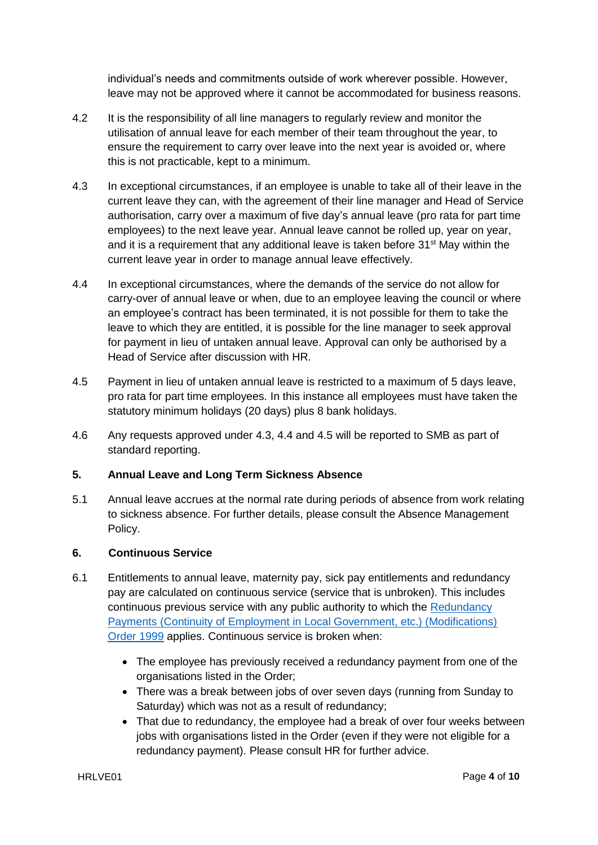individual's needs and commitments outside of work wherever possible. However, leave may not be approved where it cannot be accommodated for business reasons.

- 4.2 It is the responsibility of all line managers to regularly review and monitor the utilisation of annual leave for each member of their team throughout the year, to ensure the requirement to carry over leave into the next year is avoided or, where this is not practicable, kept to a minimum.
- 4.3 In exceptional circumstances, if an employee is unable to take all of their leave in the current leave they can, with the agreement of their line manager and Head of Service authorisation, carry over a maximum of five day's annual leave (pro rata for part time employees) to the next leave year. Annual leave cannot be rolled up, year on year, and it is a requirement that any additional leave is taken before  $31<sup>st</sup>$  May within the current leave year in order to manage annual leave effectively.
- 4.4 In exceptional circumstances, where the demands of the service do not allow for carry-over of annual leave or when, due to an employee leaving the council or where an employee's contract has been terminated, it is not possible for them to take the leave to which they are entitled, it is possible for the line manager to seek approval for payment in lieu of untaken annual leave. Approval can only be authorised by a Head of Service after discussion with HR.
- 4.5 Payment in lieu of untaken annual leave is restricted to a maximum of 5 days leave, pro rata for part time employees. In this instance all employees must have taken the statutory minimum holidays (20 days) plus 8 bank holidays.
- 4.6 Any requests approved under 4.3, 4.4 and 4.5 will be reported to SMB as part of standard reporting.

# **5. Annual Leave and Long Term Sickness Absence**

5.1 Annual leave accrues at the normal rate during periods of absence from work relating to sickness absence. For further details, please consult the Absence Management Policy.

## **6. Continuous Service**

- 6.1 Entitlements to annual leave, maternity pay, sick pay entitlements and redundancy pay are calculated on continuous service (service that is unbroken). This includes continuous previous service with any public authority to which the [Redundancy](http://www.legislation.gov.uk/uksi/1999/2277/schedule/1/made)  [Payments \(Continuity of Employment in Local Government, etc.\) \(Modifications\)](http://www.legislation.gov.uk/uksi/1999/2277/schedule/1/made)  [Order 1999](http://www.legislation.gov.uk/uksi/1999/2277/schedule/1/made) applies. Continuous service is broken when:
	- The employee has previously received a redundancy payment from one of the organisations listed in the Order;
	- There was a break between jobs of over seven days (running from Sunday to Saturday) which was not as a result of redundancy;
	- That due to redundancy, the employee had a break of over four weeks between jobs with organisations listed in the Order (even if they were not eligible for a redundancy payment). Please consult HR for further advice.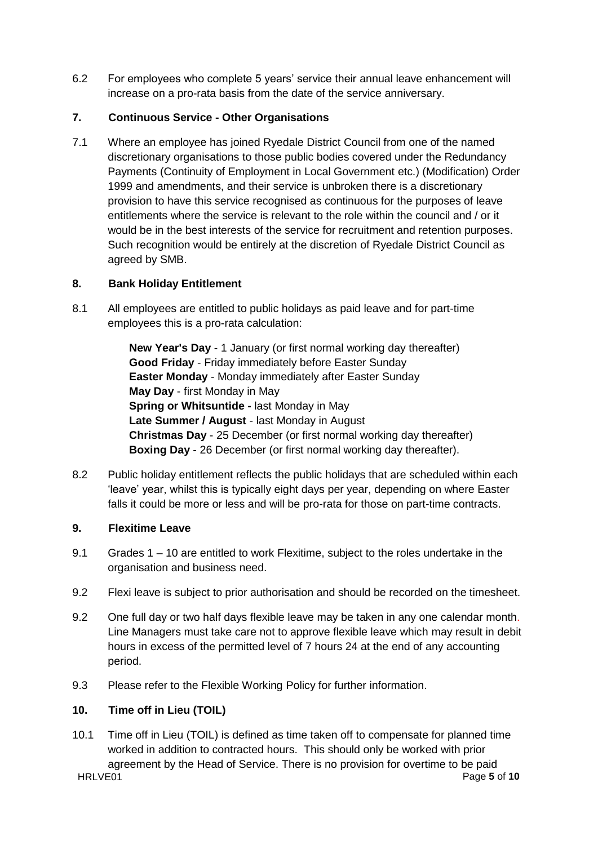6.2 For employees who complete 5 years' service their annual leave enhancement will increase on a pro-rata basis from the date of the service anniversary.

# **7. Continuous Service - Other Organisations**

7.1 Where an employee has joined Ryedale District Council from one of the named discretionary organisations to those public bodies covered under the Redundancy Payments (Continuity of Employment in Local Government etc.) (Modification) Order 1999 and amendments, and their service is unbroken there is a discretionary provision to have this service recognised as continuous for the purposes of leave entitlements where the service is relevant to the role within the council and / or it would be in the best interests of the service for recruitment and retention purposes. Such recognition would be entirely at the discretion of Ryedale District Council as agreed by SMB.

# **8. Bank Holiday Entitlement**

8.1 All employees are entitled to public holidays as paid leave and for part-time employees this is a pro-rata calculation:

> **New Year's Day** - 1 January (or first normal working day thereafter) **Good Friday** - Friday immediately before Easter Sunday **Easter Monday** - Monday immediately after Easter Sunday **May Day** - first Monday in May **Spring or Whitsuntide -** last Monday in May **Late Summer / August** - last Monday in August **Christmas Day** - 25 December (or first normal working day thereafter) **Boxing Day** - 26 December (or first normal working day thereafter).

8.2 Public holiday entitlement reflects the public holidays that are scheduled within each 'leave' year, whilst this is typically eight days per year, depending on where Easter falls it could be more or less and will be pro-rata for those on part-time contracts.

# **9. Flexitime Leave**

- 9.1 Grades 1 10 are entitled to work Flexitime, subject to the roles undertake in the organisation and business need.
- 9.2 Flexi leave is subject to prior authorisation and should be recorded on the timesheet.
- 9.2 One full day or two half days flexible leave may be taken in any one calendar month. Line Managers must take care not to approve flexible leave which may result in debit hours in excess of the permitted level of 7 hours 24 at the end of any accounting period.
- 9.3 Please refer to the Flexible Working Policy for further information.

# **10. Time off in Lieu (TOIL)**

HRLVE01 Page 5 of 10 10.1 Time off in Lieu (TOIL) is defined as time taken off to compensate for planned time worked in addition to contracted hours. This should only be worked with prior agreement by the Head of Service. There is no provision for overtime to be paid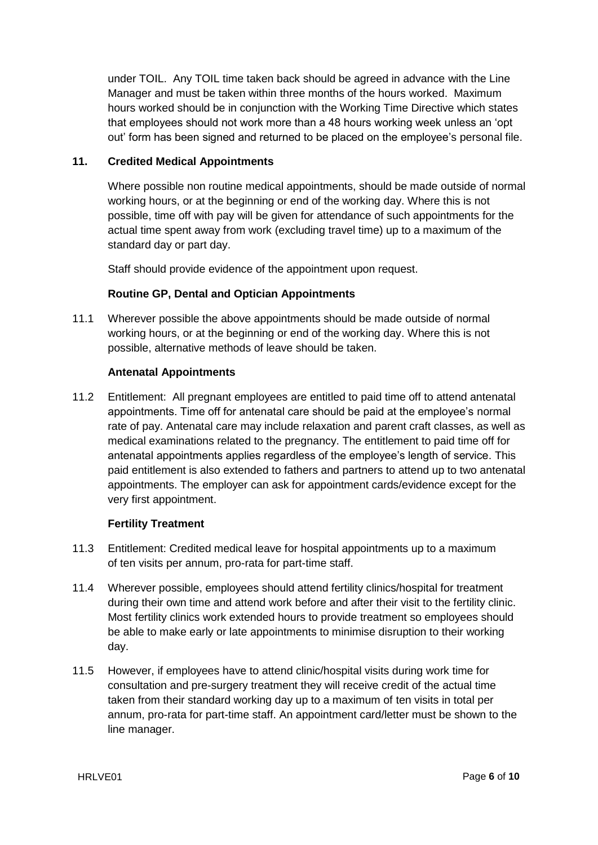under TOIL. Any TOIL time taken back should be agreed in advance with the Line Manager and must be taken within three months of the hours worked. Maximum hours worked should be in conjunction with the Working Time Directive which states that employees should not work more than a 48 hours working week unless an 'opt out' form has been signed and returned to be placed on the employee's personal file.

# **11. Credited Medical Appointments**

Where possible non routine medical appointments, should be made outside of normal working hours, or at the beginning or end of the working day. Where this is not possible, time off with pay will be given for attendance of such appointments for the actual time spent away from work (excluding travel time) up to a maximum of the standard day or part day.

Staff should provide evidence of the appointment upon request.

# **Routine GP, Dental and Optician Appointments**

11.1 Wherever possible the above appointments should be made outside of normal working hours, or at the beginning or end of the working day. Where this is not possible, alternative methods of leave should be taken.

## **Antenatal Appointments**

11.2 Entitlement: All pregnant employees are entitled to paid time off to attend antenatal appointments. Time off for antenatal care should be paid at the employee's normal rate of pay. Antenatal care may include relaxation and parent craft classes, as well as medical examinations related to the pregnancy. The entitlement to paid time off for antenatal appointments applies regardless of the employee's length of service. This paid entitlement is also extended to fathers and partners to attend up to two antenatal appointments. The employer can ask for appointment cards/evidence except for the very first appointment.

## **Fertility Treatment**

- 11.3 Entitlement: Credited medical leave for hospital appointments up to a maximum of ten visits per annum, pro-rata for part-time staff.
- 11.4 Wherever possible, employees should attend fertility clinics/hospital for treatment during their own time and attend work before and after their visit to the fertility clinic. Most fertility clinics work extended hours to provide treatment so employees should be able to make early or late appointments to minimise disruption to their working day.
- 11.5 However, if employees have to attend clinic/hospital visits during work time for consultation and pre-surgery treatment they will receive credit of the actual time taken from their standard working day up to a maximum of ten visits in total per annum, pro-rata for part-time staff. An appointment card/letter must be shown to the line manager.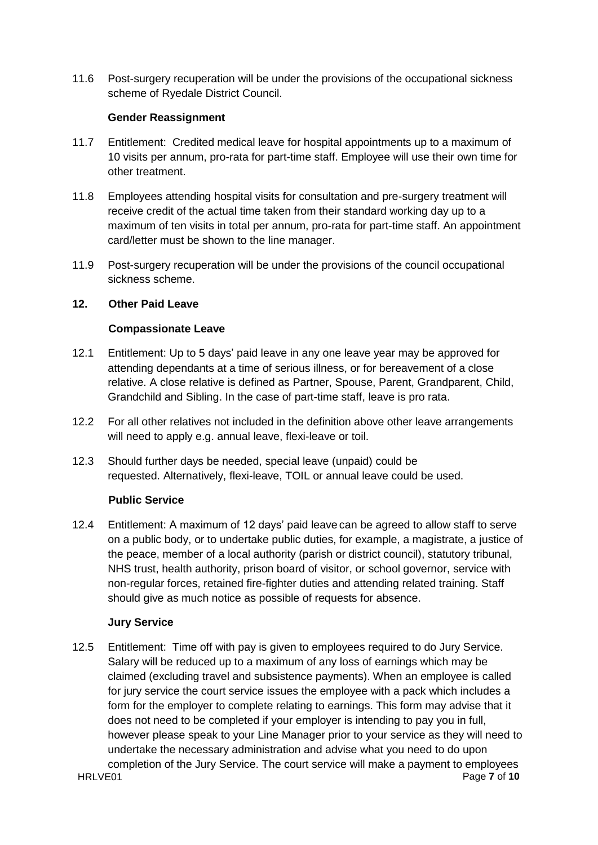11.6 Post-surgery recuperation will be under the provisions of the occupational sickness scheme of Ryedale District Council.

# **Gender Reassignment**

- 11.7 Entitlement:Credited medical leave for hospital appointments up to a maximum of 10 visits per annum, pro-rata for part-time staff. Employee will use their own time for other treatment.
- 11.8 Employees attending hospital visits for consultation and pre-surgery treatment will receive credit of the actual time taken from their standard working day up to a maximum of ten visits in total per annum, pro-rata for part-time staff. An appointment card/letter must be shown to the line manager.
- 11.9 Post-surgery recuperation will be under the provisions of the council occupational sickness scheme.

# **12. Other Paid Leave**

# **Compassionate Leave**

- 12.1 Entitlement: Up to 5 days' paid leave in any one leave year may be approved for attending dependants at a time of serious illness, or for bereavement of a close relative. A close relative is defined as Partner, Spouse, Parent, Grandparent, Child, Grandchild and Sibling. In the case of part-time staff, leave is pro rata.
- 12.2 For all other relatives not included in the definition above other leave arrangements will need to apply e.g. annual leave, flexi-leave or toil.
- 12.3 Should further days be needed, special leave (unpaid) could be requested. Alternatively, flexi-leave, TOIL or annual leave could be used.

## **Public Service**

12.4 Entitlement: A maximum of 12 days' paid leave can be agreed to allow staff to serve on a public body, or to undertake public duties, for example, a magistrate, a justice of the peace, member of a local authority (parish or district council), statutory tribunal, NHS trust, health authority, prison board of visitor, or school governor, service with non-regular forces, retained fire-fighter duties and attending related training. Staff should give as much notice as possible of requests for absence.

## **Jury Service**

HRLVE01 Page **7** of **10** 12.5 Entitlement:Time off with pay is given to employees required to do Jury Service. Salary will be reduced up to a maximum of any loss of earnings which may be claimed (excluding travel and subsistence payments). When an employee is called for jury service the court service issues the employee with a pack which includes a form for the employer to complete relating to earnings. This form may advise that it does not need to be completed if your employer is intending to pay you in full, however please speak to your Line Manager prior to your service as they will need to undertake the necessary administration and advise what you need to do upon completion of the Jury Service. The court service will make a payment to employees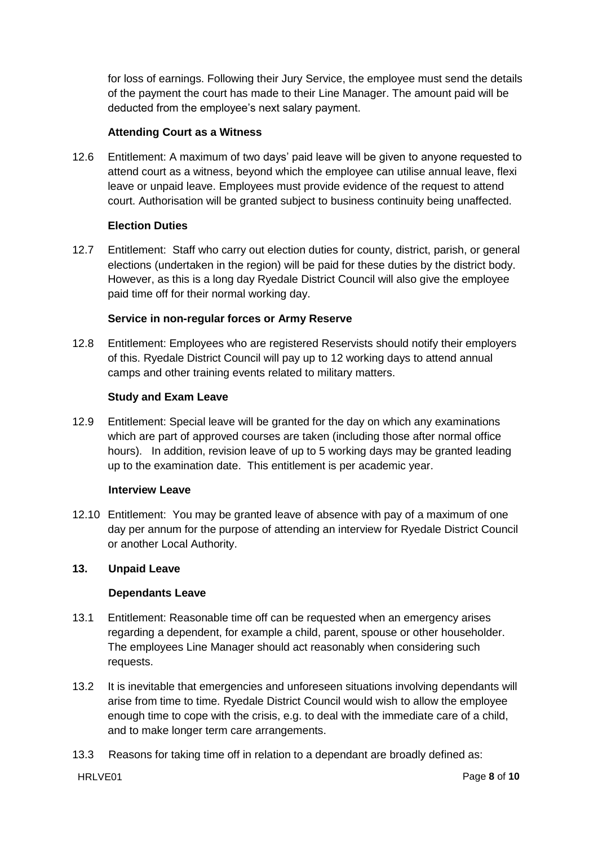for loss of earnings. Following their Jury Service, the employee must send the details of the payment the court has made to their Line Manager. The amount paid will be deducted from the employee's next salary payment.

# **Attending Court as a Witness**

12.6 Entitlement: A maximum of two days' paid leave will be given to anyone requested to attend court as a witness, beyond which the employee can utilise annual leave, flexi leave or unpaid leave. Employees must provide evidence of the request to attend court. Authorisation will be granted subject to business continuity being unaffected.

# **Election Duties**

12.7 Entitlement: Staff who carry out election duties for county, district, parish, or general elections (undertaken in the region) will be paid for these duties by the district body. However, as this is a long day Ryedale District Council will also give the employee paid time off for their normal working day.

## **Service in non-regular forces or Army Reserve**

12.8 Entitlement: Employees who are registered Reservists should notify their employers of this. Ryedale District Council will pay up to 12 working days to attend annual camps and other training events related to military matters.

## **Study and Exam Leave**

12.9 Entitlement: Special leave will be granted for the day on which any examinations which are part of approved courses are taken (including those after normal office hours). In addition, revision leave of up to 5 working days may be granted leading up to the examination date. This entitlement is per academic year.

## **Interview Leave**

12.10 Entitlement: You may be granted leave of absence with pay of a maximum of one day per annum for the purpose of attending an interview for Ryedale District Council or another Local Authority.

# **13. Unpaid Leave**

## **Dependants Leave**

- 13.1 Entitlement: Reasonable time off can be requested when an emergency arises regarding a dependent, for example a child, parent, spouse or other householder. The employees Line Manager should act reasonably when considering such requests.
- 13.2 It is inevitable that emergencies and unforeseen situations involving dependants will arise from time to time. Ryedale District Council would wish to allow the employee enough time to cope with the crisis, e.g. to deal with the immediate care of a child, and to make longer term care arrangements.
- 13.3 Reasons for taking time off in relation to a dependant are broadly defined as: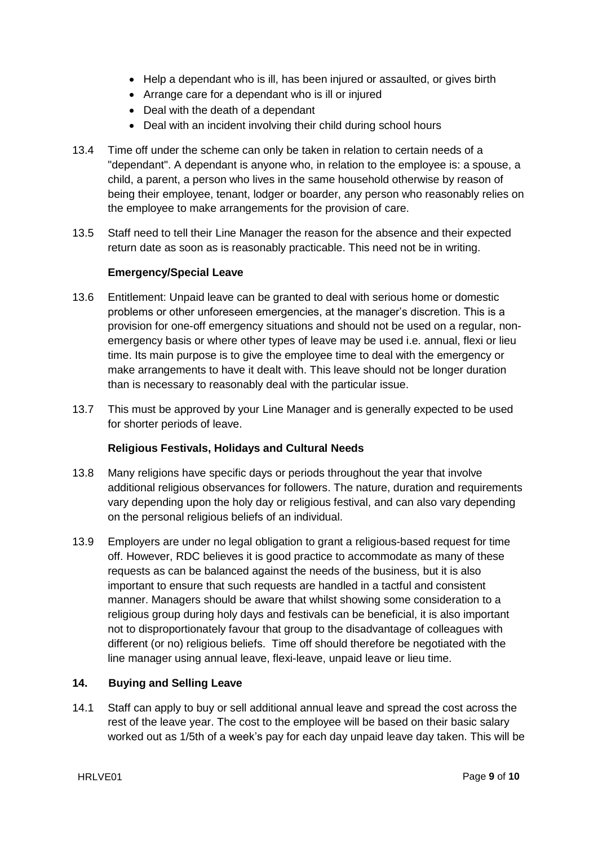- Help a dependant who is ill, has been injured or assaulted, or gives birth
- Arrange care for a dependant who is ill or injured
- Deal with the death of a dependant
- Deal with an incident involving their child during school hours
- 13.4 Time off under the scheme can only be taken in relation to certain needs of a "dependant". A dependant is anyone who, in relation to the employee is: a spouse, a child, a parent, a person who lives in the same household otherwise by reason of being their employee, tenant, lodger or boarder, any person who reasonably relies on the employee to make arrangements for the provision of care.
- 13.5 Staff need to tell their Line Manager the reason for the absence and their expected return date as soon as is reasonably practicable. This need not be in writing.

## **Emergency/Special Leave**

- 13.6 Entitlement: Unpaid leave can be granted to deal with serious home or domestic problems or other unforeseen emergencies, at the manager's discretion. This is a provision for one-off emergency situations and should not be used on a regular, nonemergency basis or where other types of leave may be used i.e. annual, flexi or lieu time. Its main purpose is to give the employee time to deal with the emergency or make arrangements to have it dealt with. This leave should not be longer duration than is necessary to reasonably deal with the particular issue.
- 13.7 This must be approved by your Line Manager and is generally expected to be used for shorter periods of leave.

## **Religious Festivals, Holidays and Cultural Needs**

- 13.8 Many religions have specific days or periods throughout the year that involve additional religious observances for followers. The nature, duration and requirements vary depending upon the holy day or religious festival, and can also vary depending on the personal religious beliefs of an individual.
- 13.9 Employers are under no legal obligation to grant a religious-based request for time off. However, RDC believes it is good practice to accommodate as many of these requests as can be balanced against the needs of the business, but it is also important to ensure that such requests are handled in a tactful and consistent manner. Managers should be aware that whilst showing some consideration to a religious group during holy days and festivals can be beneficial, it is also important not to disproportionately favour that group to the disadvantage of colleagues with different (or no) religious beliefs. Time off should therefore be negotiated with the line manager using annual leave, flexi-leave, unpaid leave or lieu time.

## **14. Buying and Selling Leave**

14.1 Staff can apply to buy or sell additional annual leave and spread the cost across the rest of the leave year. The cost to the employee will be based on their basic salary worked out as 1/5th of a week's pay for each day unpaid leave day taken. This will be